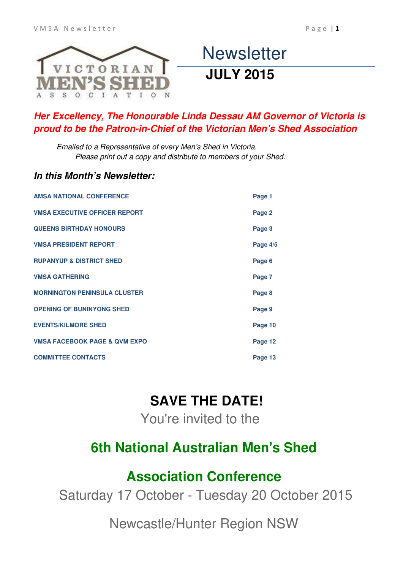

# **Newsletter JULY 2015**

# *Her Excellency, The Honourable Linda Dessau AM Governor of Victoria is proud to be the Patron-in-Chief of the Victorian Men's Shed Association*

Emailed to a Representative of every Men's Shed in Victoria. Please print out a copy and distribute to members of your Shed.

## *In this Month's Newsletter:*

| <b>AMSA NATIONAL CONFERENCE</b>             | Page 1     |
|---------------------------------------------|------------|
| <b><i>VMSA EXECUTIVE OFFICER REPORT</i></b> | Page 2     |
| <b>QUEENS BIRTHDAY HONOURS</b>              | Page 3     |
| <b><i>VMSA PRESIDENT REPORT</i></b>         | Page $4/5$ |
| <b>RUPANYUP &amp; DISTRICT SHED</b>         | Page 6     |
| <b><i>VMSA GATHERING</i></b>                | Page 7     |
| <b>MORNINGTON PENINSULA CLUSTER</b>         | Page 8     |
| <b>OPENING OF BUNINYONG SHED</b>            | Page 9     |
| <b>EVENTS/KILMORE SHED</b>                  | Page 10    |
| <b>VMSA FACEBOOK PAGE &amp; QVM EXPO</b>    | Page 12    |
| <b>COMMITTEE CONTACTS</b>                   | Page 13    |

# **SAVE THE DATE!**

You're invited to the

# **6th National Australian Men's Shed**

# **Association Conference**

Saturday 17 October - Tuesday 20 October 2015

Newcastle/Hunter Region NSW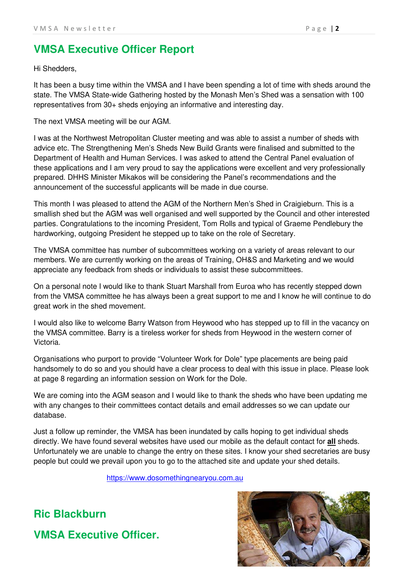# **VMSA Executive Officer Report**

Hi Shedders,

It has been a busy time within the VMSA and I have been spending a lot of time with sheds around the state. The VMSA State-wide Gathering hosted by the Monash Men's Shed was a sensation with 100 representatives from 30+ sheds enjoying an informative and interesting day.

## The next VMSA meeting will be our AGM.

I was at the Northwest Metropolitan Cluster meeting and was able to assist a number of sheds with advice etc. The Strengthening Men's Sheds New Build Grants were finalised and submitted to the Department of Health and Human Services. I was asked to attend the Central Panel evaluation of these applications and I am very proud to say the applications were excellent and very professionally prepared. DHHS Minister Mikakos will be considering the Panel's recommendations and the announcement of the successful applicants will be made in due course.

This month I was pleased to attend the AGM of the Northern Men's Shed in Craigieburn. This is a smallish shed but the AGM was well organised and well supported by the Council and other interested parties. Congratulations to the incoming President, Tom Rolls and typical of Graeme Pendlebury the hardworking, outgoing President he stepped up to take on the role of Secretary.

The VMSA committee has number of subcommittees working on a variety of areas relevant to our members. We are currently working on the areas of Training, OH&S and Marketing and we would appreciate any feedback from sheds or individuals to assist these subcommittees.

On a personal note I would like to thank Stuart Marshall from Euroa who has recently stepped down from the VMSA committee he has always been a great support to me and I know he will continue to do great work in the shed movement.

I would also like to welcome Barry Watson from Heywood who has stepped up to fill in the vacancy on the VMSA committee. Barry is a tireless worker for sheds from Heywood in the western corner of Victoria.

Organisations who purport to provide "Volunteer Work for Dole" type placements are being paid handsomely to do so and you should have a clear process to deal with this issue in place. Please look at page 8 regarding an information session on Work for the Dole.

We are coming into the AGM season and I would like to thank the sheds who have been updating me with any changes to their committees contact details and email addresses so we can update our database.

Just a follow up reminder, the VMSA has been inundated by calls hoping to get individual sheds directly. We have found several websites have used our mobile as the default contact for **all** sheds. Unfortunately we are unable to change the entry on these sites. I know your shed secretaries are busy people but could we prevail upon you to go to the attached site and update your shed details.

[https://www.dosomethingnearyou.com.au](https://www.dosomethingnearyou.com.au/)



**Ric Blackburn** 

**VMSA Executive Officer.**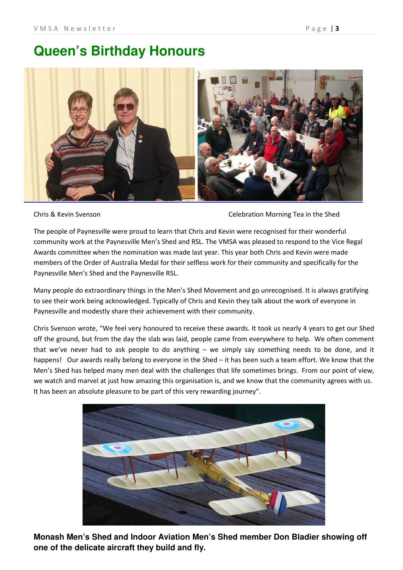# **Queen's Birthday Honours**



Chris & Kevin Svenson Celebration Morning Tea in the Shed

The people of Paynesville were proud to learn that Chris and Kevin were recognised for their wonderful community work at the Paynesville Men's Shed and RSL. The VMSA was pleased to respond to the Vice Regal Awards committee when the nomination was made last year. This year both Chris and Kevin were made members of the Order of Australia Medal for their selfless work for their community and specifically for the Paynesville Men's Shed and the Paynesville RSL.

Many people do extraordinary things in the Men's Shed Movement and go unrecognised. It is always gratifying to see their work being acknowledged. Typically of Chris and Kevin they talk about the work of everyone in Paynesville and modestly share their achievement with their community.

Chris Svenson wrote, "We feel very honoured to receive these awards. It took us nearly 4 years to get our Shed off the ground, but from the day the slab was laid, people came from everywhere to help. We often comment that we've never had to ask people to do anything – we simply say something needs to be done, and it happens! Our awards really belong to everyone in the Shed – it has been such a team effort. We know that the Men's Shed has helped many men deal with the challenges that life sometimes brings. From our point of view, we watch and marvel at just how amazing this organisation is, and we know that the community agrees with us. It has been an absolute pleasure to be part of this very rewarding journey".



**Monash Men's Shed and Indoor Aviation Men's Shed member Don Bladier showing off one of the delicate aircraft they build and fly.**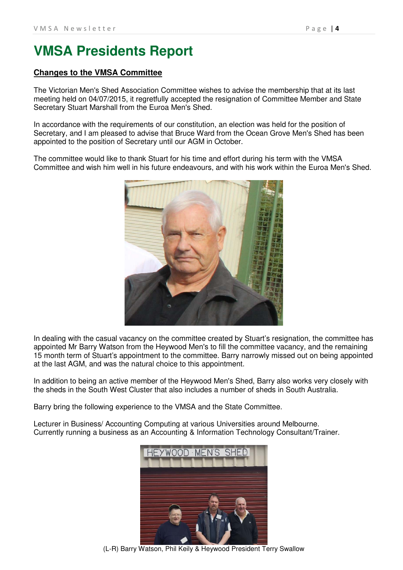# **VMSA Presidents Report**

## **Changes to the VMSA Committee**

The Victorian Men's Shed Association Committee wishes to advise the membership that at its last meeting held on 04/07/2015, it regretfully accepted the resignation of Committee Member and State Secretary Stuart Marshall from the Euroa Men's Shed.

In accordance with the requirements of our constitution, an election was held for the position of Secretary, and I am pleased to advise that Bruce Ward from the Ocean Grove Men's Shed has been appointed to the position of Secretary until our AGM in October.

The committee would like to thank Stuart for his time and effort during his term with the VMSA Committee and wish him well in his future endeavours, and with his work within the Euroa Men's Shed.



In dealing with the casual vacancy on the committee created by Stuart's resignation, the committee has appointed Mr Barry Watson from the Heywood Men's to fill the committee vacancy, and the remaining 15 month term of Stuart's appointment to the committee. Barry narrowly missed out on being appointed at the last AGM, and was the natural choice to this appointment.

In addition to being an active member of the Heywood Men's Shed, Barry also works very closely with the sheds in the South West Cluster that also includes a number of sheds in South Australia.

Barry bring the following experience to the VMSA and the State Committee.

Lecturer in Business/ Accounting Computing at various Universities around Melbourne. Currently running a business as an Accounting & Information Technology Consultant/Trainer.



(L-R) Barry Watson, Phil Keily & Heywood President Terry Swallow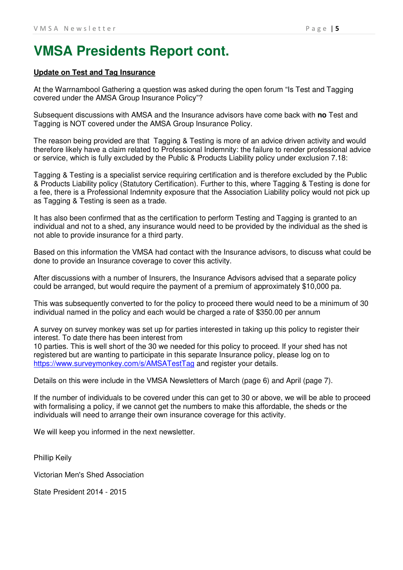# **VMSA Presidents Report cont.**

## **Update on Test and Tag Insurance**

At the Warrnambool Gathering a question was asked during the open forum "Is Test and Tagging covered under the AMSA Group Insurance Policy"?

Subsequent discussions with AMSA and the Insurance advisors have come back with **no** Test and Tagging is NOT covered under the AMSA Group Insurance Policy.

The reason being provided are that Tagging & Testing is more of an advice driven activity and would therefore likely have a claim related to Professional Indemnity: the failure to render professional advice or service, which is fully excluded by the Public & Products Liability policy under exclusion 7.18:

Tagging & Testing is a specialist service requiring certification and is therefore excluded by the Public & Products Liability policy (Statutory Certification). Further to this, where Tagging & Testing is done for a fee, there is a Professional Indemnity exposure that the Association Liability policy would not pick up as Tagging & Testing is seen as a trade.

It has also been confirmed that as the certification to perform Testing and Tagging is granted to an individual and not to a shed, any insurance would need to be provided by the individual as the shed is not able to provide insurance for a third party.

Based on this information the VMSA had contact with the Insurance advisors, to discuss what could be done to provide an Insurance coverage to cover this activity.

After discussions with a number of Insurers, the Insurance Advisors advised that a separate policy could be arranged, but would require the payment of a premium of approximately \$10,000 pa.

This was subsequently converted to for the policy to proceed there would need to be a minimum of 30 individual named in the policy and each would be charged a rate of \$350.00 per annum

A survey on survey monkey was set up for parties interested in taking up this policy to register their interest. To date there has been interest from

10 parties. This is well short of the 30 we needed for this policy to proceed. If your shed has not registered but are wanting to participate in this separate Insurance policy, please log on to <https://www.surveymonkey.com/s/AMSATestTag> and register your details.

Details on this were include in the VMSA Newsletters of March (page 6) and April (page 7).

If the number of individuals to be covered under this can get to 30 or above, we will be able to proceed with formalising a policy, if we cannot get the numbers to make this affordable, the sheds or the individuals will need to arrange their own insurance coverage for this activity.

We will keep you informed in the next newsletter.

Phillip Keily

Victorian Men's Shed Association

State President 2014 - 2015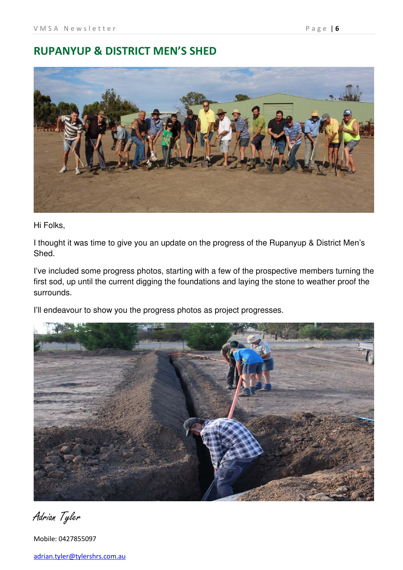# **RUPANYUP & DISTRICT MEN'S SHED**



Hi Folks,

I thought it was time to give you an update on the progress of the Rupanyup & District Men's Shed.

I've included some progress photos, starting with a few of the prospective members turning the first sod, up until the current digging the foundations and laying the stone to weather proof the surrounds.

I'll endeavour to show you the progress photos as project progresses.



Adrian Tyler

Mobile: 0427855097

[adrian.tyler@tylershrs.com.au](mailto:adrian.tyler@tylershrs.com.au)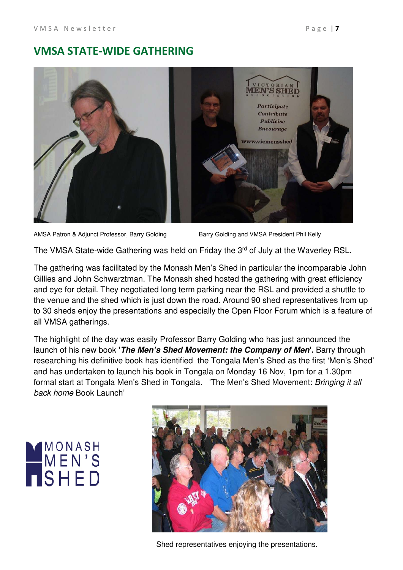# **VMSA STATE-WIDE GATHERING**



AMSA Patron & Adjunct Professor, Barry Golding Barry Golding and VMSA President Phil Keily

The VMSA State-wide Gathering was held on Friday the 3<sup>rd</sup> of July at the Waverley RSL.

The gathering was facilitated by the Monash Men's Shed in particular the incomparable John Gillies and John Schwarztman. The Monash shed hosted the gathering with great efficiency and eye for detail. They negotiated long term parking near the RSL and provided a shuttle to the venue and the shed which is just down the road. Around 90 shed representatives from up to 30 sheds enjoy the presentations and especially the Open Floor Forum which is a feature of all VMSA gatherings.

The highlight of the day was easily Professor Barry Golding who has just announced the launch of his new book **'***The Men's Shed Movement: the Company of Men***'.** Barry through researching his definitive book has identified the Tongala Men's Shed as the first 'Men's Shed' and has undertaken to launch his book in Tongala on Monday 16 Nov, 1pm for a 1.30pm formal start at Tongala Men's Shed in Tongala. 'The Men's Shed Movement: Bringing it all back home Book Launch'

# MONASH<br>MEN'S<br>NSHED



Shed representatives enjoying the presentations.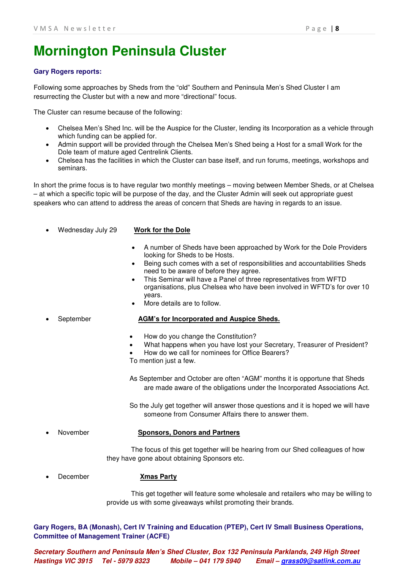# **Mornington Peninsula Cluster**

## **Gary Rogers reports:**

Following some approaches by Sheds from the "old" Southern and Peninsula Men's Shed Cluster I am resurrecting the Cluster but with a new and more "directional" focus.

The Cluster can resume because of the following:

- Chelsea Men's Shed Inc. will be the Auspice for the Cluster, lending its Incorporation as a vehicle through which funding can be applied for.
- Admin support will be provided through the Chelsea Men's Shed being a Host for a small Work for the Dole team of mature aged Centrelink Clients.
- Chelsea has the facilities in which the Cluster can base itself, and run forums, meetings, workshops and seminars.

In short the prime focus is to have regular two monthly meetings – moving between Member Sheds, or at Chelsea – at which a specific topic will be purpose of the day, and the Cluster Admin will seek out appropriate guest speakers who can attend to address the areas of concern that Sheds are having in regards to an issue.

• Wednesday July 29 **Work for the Dole**

- A number of Sheds have been approached by Work for the Dole Providers looking for Sheds to be Hosts.
- Being such comes with a set of responsibilities and accountabilities Sheds need to be aware of before they agree.
- This Seminar will have a Panel of three representatives from WFTD organisations, plus Chelsea who have been involved in WFTD's for over 10 years.
- More details are to follow.

## • September **AGM's for Incorporated and Auspice Sheds.**

- How do you change the Constitution?
- What happens when you have lost your Secretary, Treasurer of President?
- How do we call for nominees for Office Bearers? To mention just a few.
- As September and October are often "AGM" months it is opportune that Sheds are made aware of the obligations under the Incorporated Associations Act.
- So the July get together will answer those questions and it is hoped we will have someone from Consumer Affairs there to answer them.

## • November **Sponsors, Donors and Partners**

The focus of this get together will be hearing from our Shed colleagues of how they have gone about obtaining Sponsors etc.

• December **Xmas Party**

This get together will feature some wholesale and retailers who may be willing to provide us with some giveaways whilst promoting their brands.

**Gary Rogers, BA (Monash), Cert IV Training and Education (PTEP), Cert IV Small Business Operations, Committee of Management Trainer (ACFE)**

*Secretary Southern and Peninsula Men's Shed Cluster, Box 132 Peninsula Parklands, 249 High Street Hastings VIC 3915 Tel - 5979 8323 Mobile – 041 179 5940 Email – [grass09@satlink.com.au](mailto:grass09@satlink.com.au)*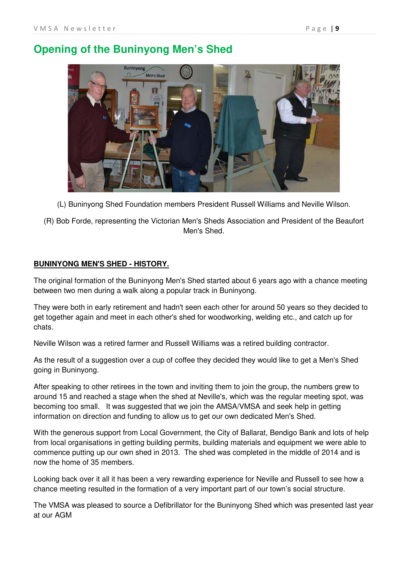# **Opening of the Buninyong Men's Shed**



(L) Buninyong Shed Foundation members President Russell Williams and Neville Wilson.

(R) Bob Forde, representing the Victorian Men's Sheds Association and President of the Beaufort Men's Shed.

## **BUNINYONG MEN'S SHED - HISTORY.**

The original formation of the Buninyong Men's Shed started about 6 years ago with a chance meeting between two men during a walk along a popular track in Buninyong.

They were both in early retirement and hadn't seen each other for around 50 years so they decided to get together again and meet in each other's shed for woodworking, welding etc., and catch up for chats.

Neville Wilson was a retired farmer and Russell Williams was a retired building contractor.

As the result of a suggestion over a cup of coffee they decided they would like to get a Men's Shed going in Buninyong.

After speaking to other retirees in the town and inviting them to join the group, the numbers grew to around 15 and reached a stage when the shed at Neville's, which was the regular meeting spot, was becoming too small. It was suggested that we join the AMSA/VMSA and seek help in getting information on direction and funding to allow us to get our own dedicated Men's Shed.

With the generous support from Local Government, the City of Ballarat, Bendigo Bank and lots of help from local organisations in getting building permits, building materials and equipment we were able to commence putting up our own shed in 2013. The shed was completed in the middle of 2014 and is now the home of 35 members.

Looking back over it all it has been a very rewarding experience for Neville and Russell to see how a chance meeting resulted in the formation of a very important part of our town's social structure.

The VMSA was pleased to source a Defibrillator for the Buninyong Shed which was presented last year at our AGM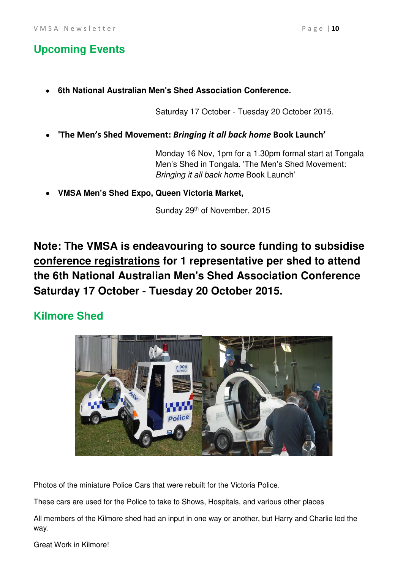# **Upcoming Events**

• **6th National Australian Men's Shed Association Conference.**

Saturday 17 October - Tuesday 20 October 2015.

• **'The Men's Shed Movement:** *Bringing it all back home* **Book Launch'**

Monday 16 Nov, 1pm for a 1.30pm formal start at Tongala Men's Shed in Tongala. 'The Men's Shed Movement: Bringing it all back home Book Launch'

• **VMSA Men's Shed Expo, Queen Victoria Market,**

Sunday 29<sup>th</sup> of November, 2015

**Note: The VMSA is endeavouring to source funding to subsidise conference registrations for 1 representative per shed to attend the 6th National Australian Men's Shed Association Conference Saturday 17 October - Tuesday 20 October 2015.** 

# **Kilmore Shed**



Photos of the miniature Police Cars that were rebuilt for the Victoria Police.

These cars are used for the Police to take to Shows, Hospitals, and various other places

All members of the Kilmore shed had an input in one way or another, but Harry and Charlie led the way.

Great Work in Kilmore!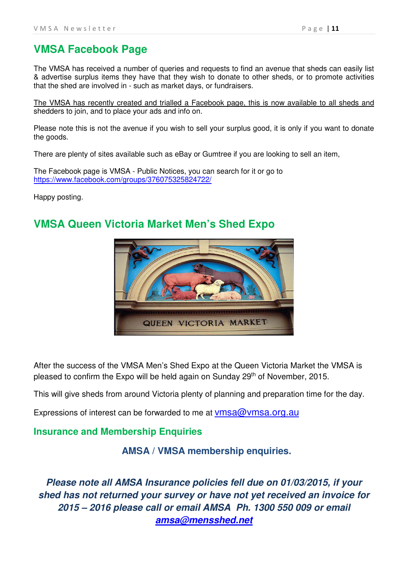# **VMSA Facebook Page**

The VMSA has received a number of queries and requests to find an avenue that sheds can easily list & advertise surplus items they have that they wish to donate to other sheds, or to promote activities that the shed are involved in - such as market days, or fundraisers.

The VMSA has recently created and trialled a Facebook page, this is now available to all sheds and shedders to join, and to place your ads and info on.

Please note this is not the avenue if you wish to sell your surplus good, it is only if you want to donate the goods.

There are plenty of sites available such as eBay or Gumtree if you are looking to sell an item,

The Facebook page is VMSA - Public Notices, you can search for it or go to <https://www.facebook.com/groups/376075325824722/>

Happy posting.

# **VMSA Queen Victoria Market Men's Shed Expo**



After the success of the VMSA Men's Shed Expo at the Queen Victoria Market the VMSA is pleased to confirm the Expo will be held again on Sunday 29<sup>th</sup> of November, 2015.

This will give sheds from around Victoria plenty of planning and preparation time for the day.

Expressions of interest can be forwarded to me at  $\nu$ msa $@$  $\nu$ msa.org.au

## **Insurance and Membership Enquiries**

**AMSA / VMSA membership enquiries.**

*Please note all AMSA Insurance policies fell due on 01/03/2015, if your shed has not returned your survey or have not yet received an invoice for 2015 – 2016 please call or email AMSA Ph. 1300 550 009 or email [amsa@mensshed.net](mailto:amsa@mensshed.net)*